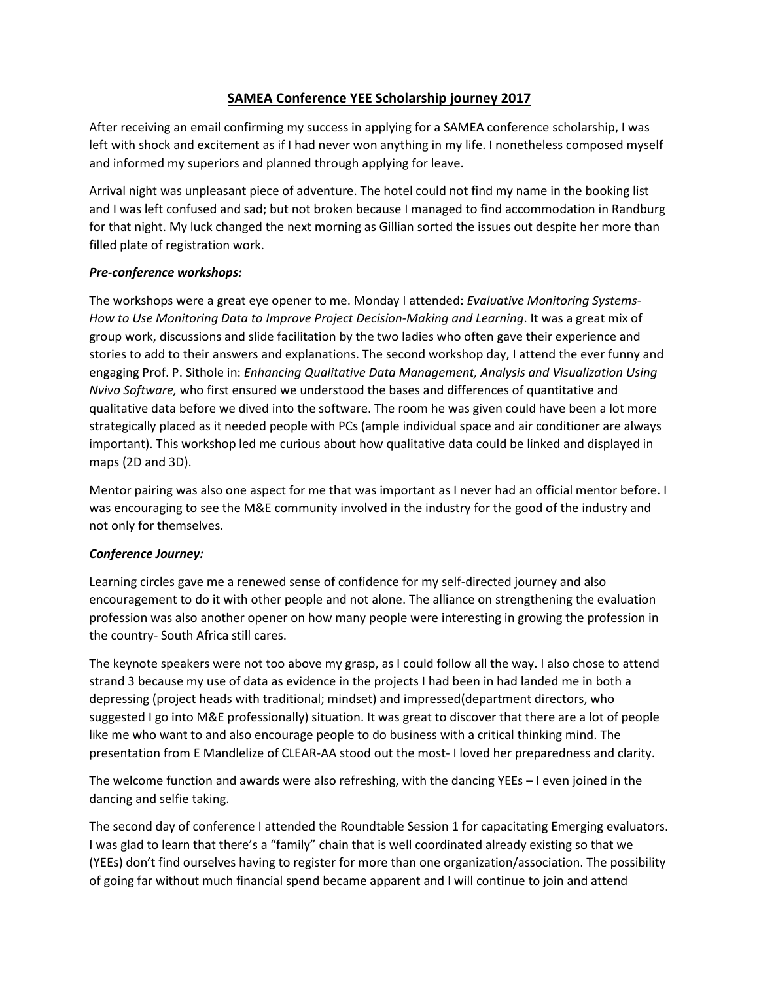## **SAMEA Conference YEE Scholarship journey 2017**

After receiving an email confirming my success in applying for a SAMEA conference scholarship, I was left with shock and excitement as if I had never won anything in my life. I nonetheless composed myself and informed my superiors and planned through applying for leave.

Arrival night was unpleasant piece of adventure. The hotel could not find my name in the booking list and I was left confused and sad; but not broken because I managed to find accommodation in Randburg for that night. My luck changed the next morning as Gillian sorted the issues out despite her more than filled plate of registration work.

## *Pre-conference workshops:*

The workshops were a great eye opener to me. Monday I attended: *Evaluative Monitoring Systems-How to Use Monitoring Data to Improve Project Decision-Making and Learning*. It was a great mix of group work, discussions and slide facilitation by the two ladies who often gave their experience and stories to add to their answers and explanations. The second workshop day, I attend the ever funny and engaging Prof. P. Sithole in: *Enhancing Qualitative Data Management, Analysis and Visualization Using Nvivo Software,* who first ensured we understood the bases and differences of quantitative and qualitative data before we dived into the software. The room he was given could have been a lot more strategically placed as it needed people with PCs (ample individual space and air conditioner are always important). This workshop led me curious about how qualitative data could be linked and displayed in maps (2D and 3D).

Mentor pairing was also one aspect for me that was important as I never had an official mentor before. I was encouraging to see the M&E community involved in the industry for the good of the industry and not only for themselves.

## *Conference Journey:*

Learning circles gave me a renewed sense of confidence for my self-directed journey and also encouragement to do it with other people and not alone. The alliance on strengthening the evaluation profession was also another opener on how many people were interesting in growing the profession in the country- South Africa still cares.

The keynote speakers were not too above my grasp, as I could follow all the way. I also chose to attend strand 3 because my use of data as evidence in the projects I had been in had landed me in both a depressing (project heads with traditional; mindset) and impressed(department directors, who suggested I go into M&E professionally) situation. It was great to discover that there are a lot of people like me who want to and also encourage people to do business with a critical thinking mind. The presentation from E Mandlelize of CLEAR-AA stood out the most- I loved her preparedness and clarity.

The welcome function and awards were also refreshing, with the dancing YEEs – I even joined in the dancing and selfie taking.

The second day of conference I attended the Roundtable Session 1 for capacitating Emerging evaluators. I was glad to learn that there's a "family" chain that is well coordinated already existing so that we (YEEs) don't find ourselves having to register for more than one organization/association. The possibility of going far without much financial spend became apparent and I will continue to join and attend